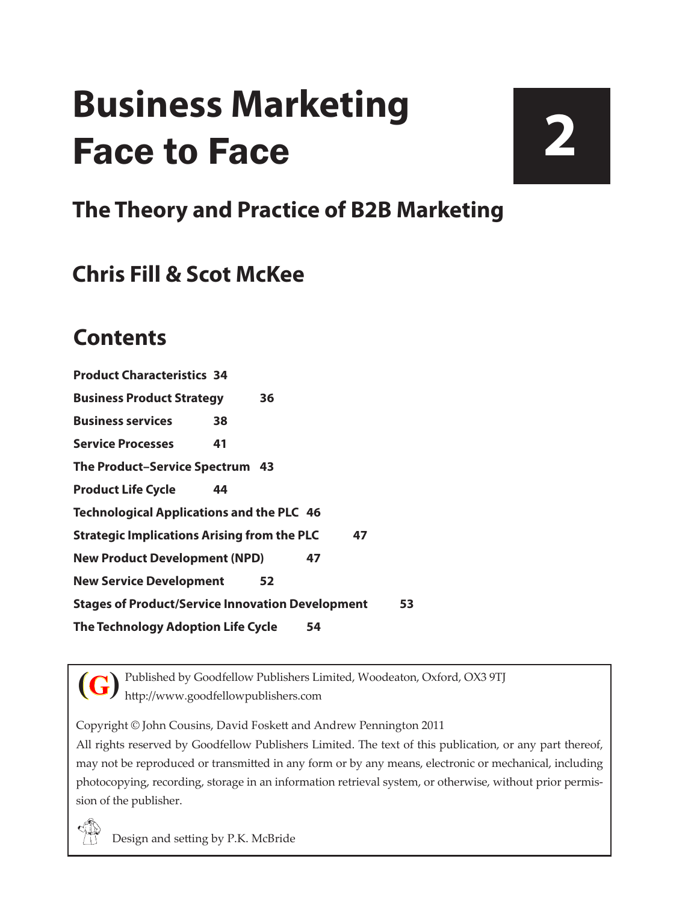# **Business Marketing** Face to Face

# **2**

# **The Theory and Practice of B2B Marketing**

## **Chris Fill & Scot McKee**

### **Contents**

| <b>Product Characteristics 34</b>                        |    |    |    |  |    |
|----------------------------------------------------------|----|----|----|--|----|
| <b>Business Product Strategy</b>                         |    | 36 |    |  |    |
| <b>Business services</b>                                 | 38 |    |    |  |    |
| <b>Service Processes</b>                                 | 41 |    |    |  |    |
| The Product-Service Spectrum 43                          |    |    |    |  |    |
| <b>Product Life Cycle</b>                                | 44 |    |    |  |    |
| <b>Technological Applications and the PLC 46</b>         |    |    |    |  |    |
| <b>Strategic Implications Arising from the PLC</b><br>47 |    |    |    |  |    |
| <b>New Product Development (NPD)</b>                     |    |    | 47 |  |    |
| <b>New Service Development</b>                           |    | 52 |    |  |    |
| <b>Stages of Product/Service Innovation Development</b>  |    |    |    |  | 53 |
| <b>The Technology Adoption Life Cycle</b>                |    |    | 54 |  |    |

Published by Goodfellow Publishers Limited, Woodeaton, Oxford, OX3 9TJ http://www.goodfellowpublishers.com **(G)**

Copyright © John Cousins, David Foskett and Andrew Pennington 2011

All rights reserved by Goodfellow Publishers Limited. The text of this publication, or any part thereof, may not be reproduced or transmitted in any form or by any means, electronic or mechanical, including photocopying, recording, storage in an information retrieval system, or otherwise, without prior permission of the publisher.



Design and setting by P.K. McBride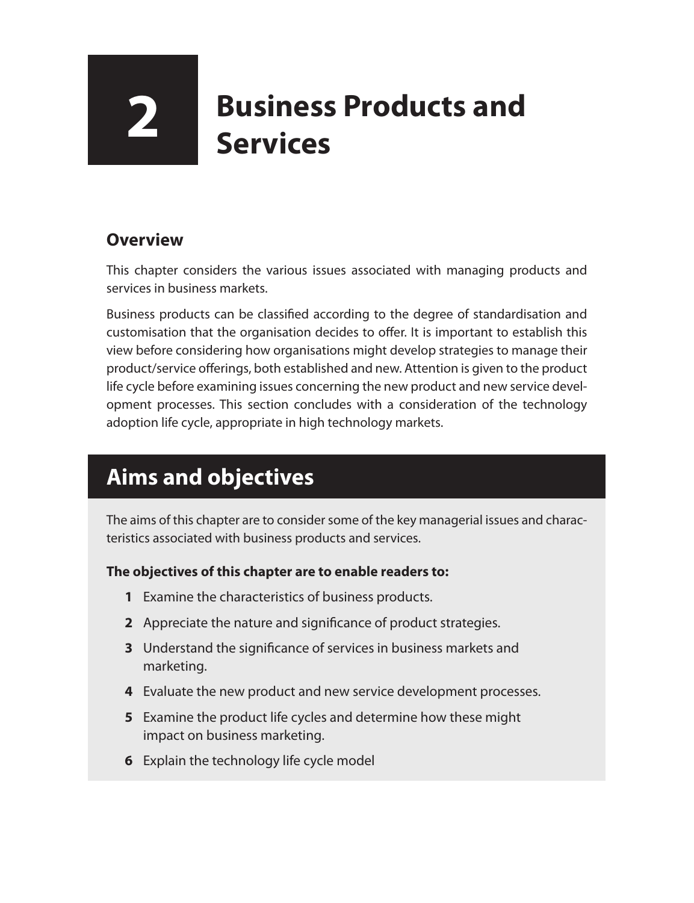# **2 Business Products and Services**

#### **Overview**

This chapter considers the various issues associated with managing products and services in business markets.

Business products can be classified according to the degree of standardisation and customisation that the organisation decides to offer. It is important to establish this view before considering how organisations might develop strategies to manage their product/service offerings, both established and new. Attention is given to the product life cycle before examining issues concerning the new product and new service development processes. This section concludes with a consideration of the technology adoption life cycle, appropriate in high technology markets.

### **Aims and objectives**

The aims of this chapter are to consider some of the key managerial issues and characteristics associated with business products and services.

#### **The objectives of this chapter are to enable readers to:**

- **1** Examine the characteristics of business products.
- **2** Appreciate the nature and significance of product strategies.
- **3** Understand the significance of services in business markets and marketing.
- **4** Evaluate the new product and new service development processes.
- **5** Examine the product life cycles and determine how these might impact on business marketing.
- **6** Explain the technology life cycle model